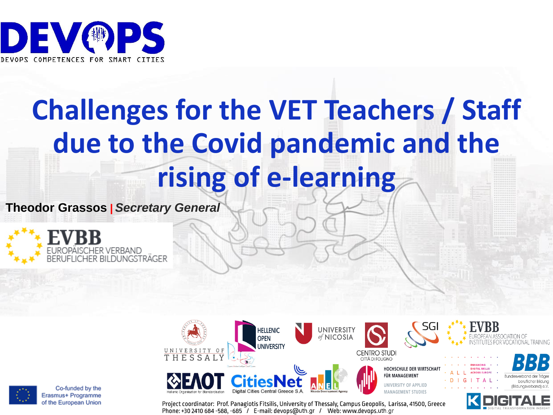

# **Challenges for the VET Teachers / Staff due to the Covid pandemic and the rising of e-learning**

**Theodor Grassos |** *Secretary General*







beruflicher Bilduna

Project coordinator: Prof. Panagiotis Fitsilis, University of Thessaly, Campus Geopolis, Larissa, 41500, Greece Phone: +30 2410 684 -588, -685 / E-mail: devops@uth.gr / Web: www.devops.uth.gr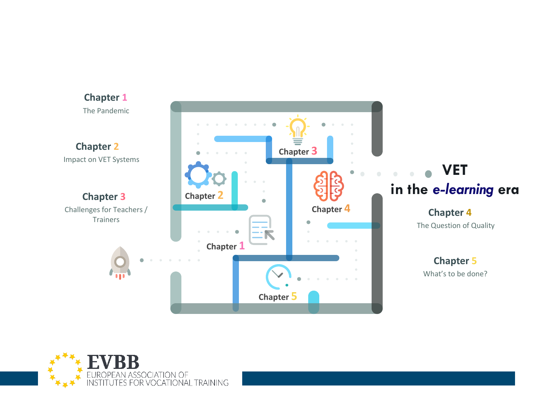

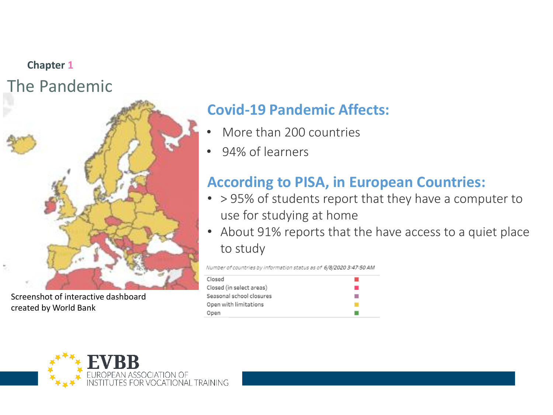### **Chapter 1** The Pandemic



Screenshot of interactive dashboard created by World Bank

### **Covid-19 Pandemic Affects:**

- More than 200 countries
- 94% of learners

#### **According to PISA, in European Countries:**

- > 95% of students report that they have a computer to use for studying at home
- About 91% reports that the have access to a quiet place to study

Number of countries by information status as of 6/8/2020 3:47:50 AM

| Closed                   |  |
|--------------------------|--|
| Closed (in select areas) |  |
| Seasonal school closures |  |
| Open with limitations    |  |
| Open                     |  |

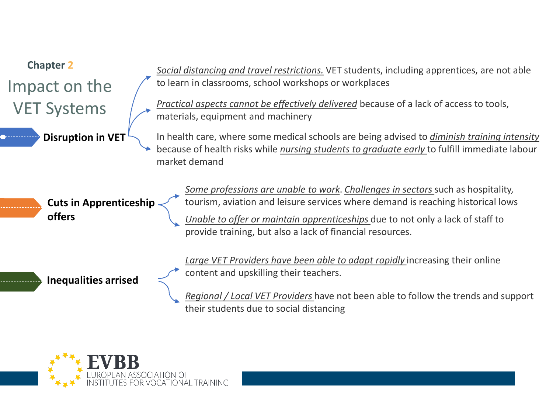

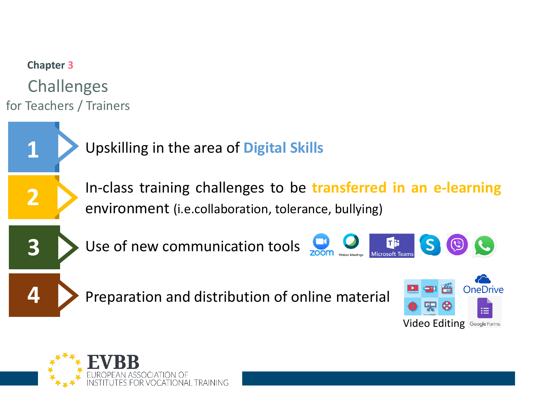

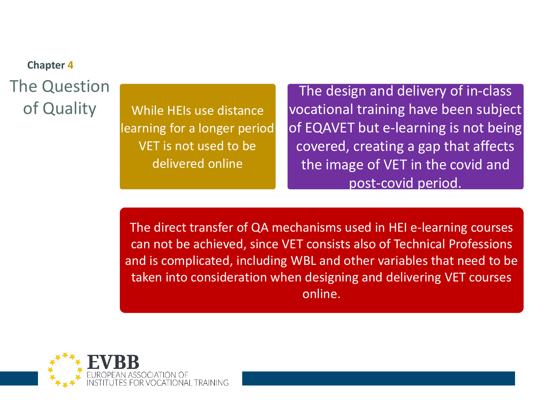# **Chapter 4** The Question

of Quality While HEIs use distance learning for a longer period VET is not used to be delivered online

The design and delivery of in-class vocational training have been subject of EQAVET but e-learning is not being covered, creating a gap that affects the image of VET in the covid and post-covid period.

The direct transfer of QA mechanisms used in HEI e-learning courses can not be achieved, since VET consists also of Technical Professions and is complicated, including WBL and other variables that need to be taken into consideration when designing and delivering VET courses online.

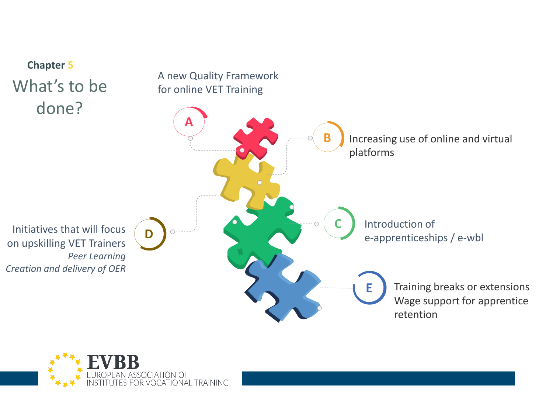

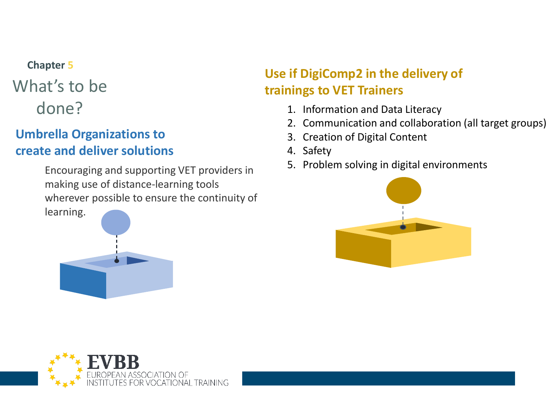## **Chapter 5** What's to be

#### **Umbrella Organizations to create and deliver solutions**

Encouraging and supporting VET providers in making use of distance-learning tools wherever possible to ensure the continuity of



#### **Use if DigiComp2 in the delivery of trainings to VET Trainers**

- done? 1. Information and Data Literacy
	- 2. Communication and collaboration (all target groups)
	- 3. Creation of Digital Content
	- 4. Safety
	- 5. Problem solving in digital environments